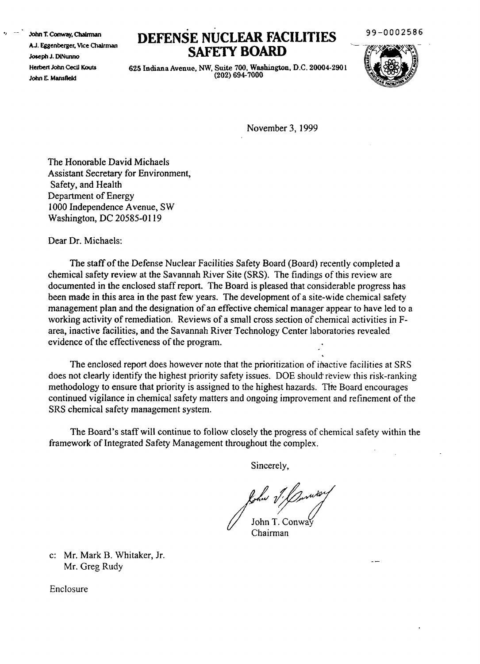.) \_.- **.'ohn 'J:** Conway, ChaIrman A.J. Eggenberger, Vice Chairman Joseph J. DiNunno Herbert John Cecil Kouts John E. Mansfield

## **DEFENSE NUCLEAR FACILITIES SAFETY BOARD**

99-0002586

625 Indiana Avenue, NW, Suite 700, Washington, D.C. 20004-2901  $(202)$  694-7000



November 3,1999

The Honorable David Michaels Assistant Secretary for Environment, Safety, and Health Department of Energy 1000 Independence Avenue, SW Washington, DC 20585-0119

Dear Dr. Michaels:

The staffofthe Defense Nuclear Facilities Safety Board (Board) recently completed a chemical safety review at the Savannah River Site (SRS). The findings ofthis review are documented in the enclosed staffreport. The Board is pleased that considerable progress has been made in this area in the past few years. The development of a site-wide chemical safety management plan and the designation of an effective chemical manager appear to have led to a working activity of remediation. Reviews of a small cross section of chemical activities in Farea, inactive facilities, and the Savannah River Technology Center laboratories revealed evidence of the effectiveness of the program.

The enclosed report does however note that the prioritization of inactive facilities at SRS does not clearly identify the highest priority safety issues. DOE should' review this risk-ranking methodology to ensure that priority is assigned to the highest hazards. The Board encourages continued vigilance in chemical safety matters and ongoing improvement and refinement of the SRS chemical safety management system.

The Board's staff will continue to follow closely the progress of chemical safety within the framework of Integrated Safety Management throughout the complex.

Sincerely,

folio 1: Conway

c: Mr. Mark B. Whitaker, Jr. Mr. Greg Rudy

Enclosure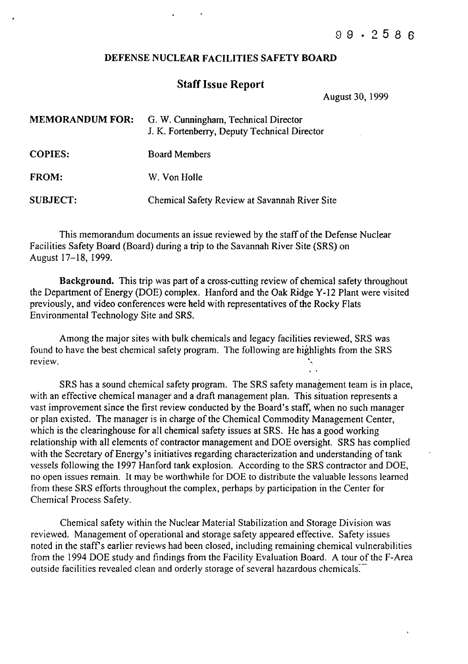## DEFENSE NUCLEAR FACILITIES SAFETY BOARD

## **Staff Issue Report**

August 30, 1999

| <b>MEMORANDUM FOR:</b> | G. W. Cunningham, Technical Director<br>J. K. Fortenberry, Deputy Technical Director |
|------------------------|--------------------------------------------------------------------------------------|
| <b>COPIES:</b>         | <b>Board Members</b>                                                                 |
| <b>FROM:</b>           | W. Von Holle                                                                         |
| <b>SUBJECT:</b>        | Chemical Safety Review at Savannah River Site                                        |

This memorandum documents an issue reviewed by the staff of the Defense Nuclear Facilities Safety Board (Board) during a trip to the Savannah River Site (SRS) on August 17-18, 1999.

Background. This trip was part of a cross-cutting review of chemical safety throughout the Department of Energy (DOE) complex. Hanford and the Oak Ridge Y-12 Plant were visited previously, and video conferences were held with representatives of the Rocky Flats Environmental Technology Site and SRS.

Among the major sites with bulk chemicals and legacy facilities reviewed, SRS was found to have the best chemical safety program. The following are highlights from the SRS review.

SRS has a sound chemical safety program. The SRS safety management team is in place, with an effective chemical manager and a draft management plan. This situation represents a vast improvement since the first review conducted by the Board's staff, when no such manager or plan existed. The manager is in charge of the Chemical Commodity Management Center, which is the clearinghouse for all chemical safety issues at SRS. He has a good working relationship with all elements of contractor management and DOE oversight. SRS has complied with the Secretary of Energy's initiatives regarding characterization and understanding of tank vessels following the 1997 Hanford tank explosion. According to the SRS contractor and DOE, no open issues remain. It may be worthwhile for DOE to distribute the valuable lessons learned from these SRS efforts throughout the complex, perhaps by participation in the Center for Chemical Process Safety.

Chemical safety within the Nuclear Material Stabilization and Storage Division was reviewed. Management of operational and storage safety appeared effective. Safety issues noted in the staff's earlier reviews had been closed, including remaining chemical vulnerabilities from the 1994 DOE study and findings from the Facility Evaluation Board. A tour of the F-Area outside facilities revealed clean and orderly storage of several hazardous chemicals.